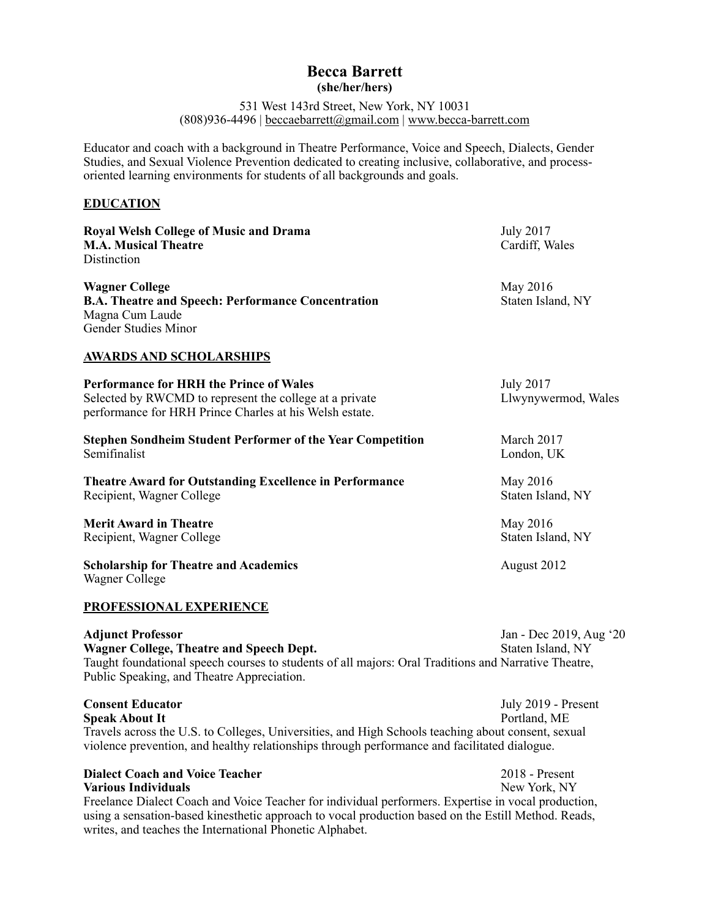## **Becca Barrett (she/her/hers)**

531 West 143rd Street, New York, NY 10031 (808)936-4496 | [beccaebarrett@gmail.com](mailto:beccaebarrett@gmail.com) | [www.becca-barrett.com](http://www.becca-barrett.com)

Educator and coach with a background in Theatre Performance, Voice and Speech, Dialects, Gender Studies, and Sexual Violence Prevention dedicated to creating inclusive, collaborative, and processoriented learning environments for students of all backgrounds and goals.

## **EDUCATION**

| <b>Royal Welsh College of Music and Drama</b><br><b>M.A. Musical Theatre</b><br>Distinction                                                                                                                                                                                                                                                    | <b>July 2017</b><br>Cardiff, Wales           |
|------------------------------------------------------------------------------------------------------------------------------------------------------------------------------------------------------------------------------------------------------------------------------------------------------------------------------------------------|----------------------------------------------|
| <b>Wagner College</b><br><b>B.A. Theatre and Speech: Performance Concentration</b><br>Magna Cum Laude<br><b>Gender Studies Minor</b>                                                                                                                                                                                                           | May 2016<br>Staten Island, NY                |
| <u>AWARDS AND SCHOLARSHIPS</u>                                                                                                                                                                                                                                                                                                                 |                                              |
| <b>Performance for HRH the Prince of Wales</b><br>Selected by RWCMD to represent the college at a private<br>performance for HRH Prince Charles at his Welsh estate.                                                                                                                                                                           | <b>July 2017</b><br>Llwynywermod, Wales      |
| <b>Stephen Sondheim Student Performer of the Year Competition</b><br>Semifinalist                                                                                                                                                                                                                                                              | March 2017<br>London, UK                     |
| <b>Theatre Award for Outstanding Excellence in Performance</b><br>Recipient, Wagner College                                                                                                                                                                                                                                                    | May 2016<br>Staten Island, NY                |
| <b>Merit Award in Theatre</b><br>Recipient, Wagner College                                                                                                                                                                                                                                                                                     | May 2016<br>Staten Island, NY                |
| <b>Scholarship for Theatre and Academics</b><br>Wagner College                                                                                                                                                                                                                                                                                 | August 2012                                  |
| <b>PROFESSIONAL EXPERIENCE</b>                                                                                                                                                                                                                                                                                                                 |                                              |
| <b>Adjunct Professor</b><br><b>Wagner College, Theatre and Speech Dept.</b><br>Taught foundational speech courses to students of all majors: Oral Traditions and Narrative Theatre,<br>Public Speaking, and Theatre Appreciation.                                                                                                              | Jan - Dec 2019, Aug '20<br>Staten Island, NY |
| <b>Consent Educator</b><br><b>Speak About It</b><br>Travels across the U.S. to Colleges, Universities, and High Schools teaching about consent, sexual<br>violence prevention, and healthy relationships through performance and facilitated dialogue.                                                                                         | July 2019 - Present<br>Portland, ME          |
| <b>Dialect Coach and Voice Teacher</b><br><b>Various Individuals</b><br>Freelance Dialect Coach and Voice Teacher for individual performers. Expertise in vocal production,<br>using a sensation-based kinesthetic approach to vocal production based on the Estill Method. Reads,<br>writes, and teaches the International Phonetic Alphabet. | 2018 - Present<br>New York, NY               |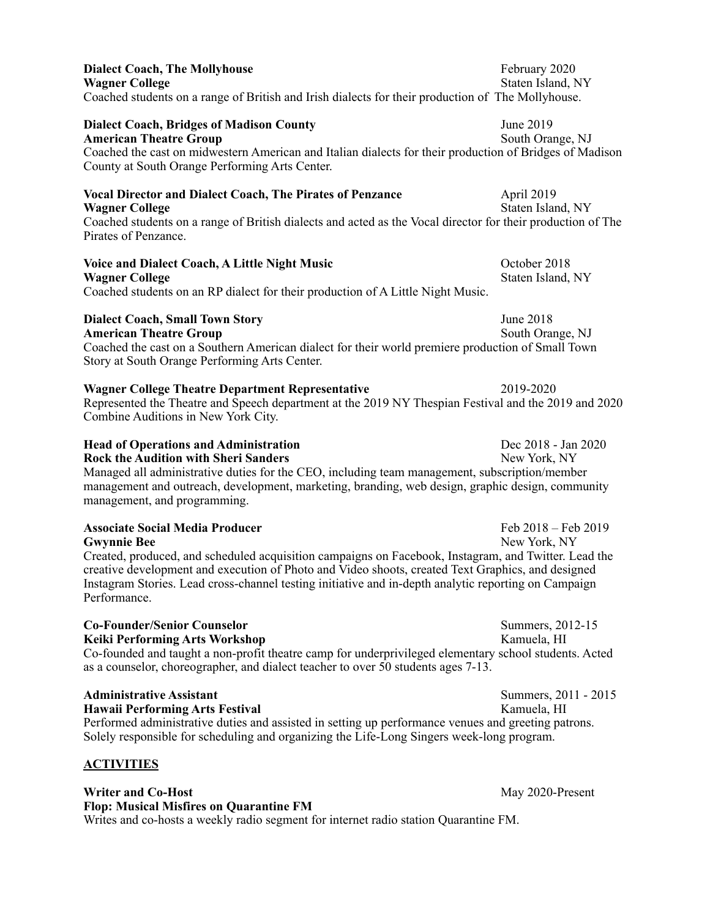| <b>Dialect Coach, The Mollyhouse</b><br><b>Wagner College</b><br>Coached students on a range of British and Irish dialects for their production of The Mollyhouse.                                                                                                                                                                                                                                | February 2020<br>Staten Island, NY  |
|---------------------------------------------------------------------------------------------------------------------------------------------------------------------------------------------------------------------------------------------------------------------------------------------------------------------------------------------------------------------------------------------------|-------------------------------------|
| <b>Dialect Coach, Bridges of Madison County</b><br><b>American Theatre Group</b><br>Coached the cast on midwestern American and Italian dialects for their production of Bridges of Madison<br>County at South Orange Performing Arts Center.                                                                                                                                                     | June 2019<br>South Orange, NJ       |
| <b>Vocal Director and Dialect Coach, The Pirates of Penzance</b><br><b>Wagner College</b><br>Coached students on a range of British dialects and acted as the Vocal director for their production of The<br>Pirates of Penzance.                                                                                                                                                                  | April 2019<br>Staten Island, NY     |
| <b>Voice and Dialect Coach, A Little Night Music</b><br><b>Wagner College</b><br>Coached students on an RP dialect for their production of A Little Night Music.                                                                                                                                                                                                                                  | October 2018<br>Staten Island, NY   |
| <b>Dialect Coach, Small Town Story</b><br><b>American Theatre Group</b><br>Coached the cast on a Southern American dialect for their world premiere production of Small Town<br>Story at South Orange Performing Arts Center.                                                                                                                                                                     | June 2018<br>South Orange, NJ       |
| <b>Wagner College Theatre Department Representative</b><br>2019-2020<br>Represented the Theatre and Speech department at the 2019 NY Thespian Festival and the 2019 and 2020<br>Combine Auditions in New York City.                                                                                                                                                                               |                                     |
| <b>Head of Operations and Administration</b><br><b>Rock the Audition with Sheri Sanders</b><br>Managed all administrative duties for the CEO, including team management, subscription/member<br>management and outreach, development, marketing, branding, web design, graphic design, community<br>management, and programming.                                                                  | Dec 2018 - Jan 2020<br>New York, NY |
| <b>Associate Social Media Producer</b><br><b>Gwynnie Bee</b><br>Created, produced, and scheduled acquisition campaigns on Facebook, Instagram, and Twitter. Lead the<br>creative development and execution of Photo and Video shoots, created Text Graphics, and designed<br>Instagram Stories. Lead cross-channel testing initiative and in-depth analytic reporting on Campaign<br>Performance. | Feb 2018 - Feb 2019<br>New York, NY |
| <b>Co-Founder/Senior Counselor</b><br><b>Keiki Performing Arts Workshop</b><br>Co-founded and taught a non-profit theatre camp for underprivileged elementary school students. Acted<br>as a counselor, choreographer, and dialect teacher to over 50 students ages 7-13.                                                                                                                         | Summers, 2012-15<br>Kamuela, HI     |
| <b>Administrative Assistant</b><br><b>Hawaii Performing Arts Festival</b><br>Performed administrative duties and assisted in setting up performance venues and greeting patrons.<br>Solely responsible for scheduling and organizing the Life-Long Singers week-long program.                                                                                                                     | Summers, 2011 - 2015<br>Kamuela, HI |
| <b>ACTIVITIES</b>                                                                                                                                                                                                                                                                                                                                                                                 |                                     |
| <b>Writer and Co-Host</b><br><b>Flop: Musical Misfires on Quarantine FM</b>                                                                                                                                                                                                                                                                                                                       | May 2020-Present                    |

Writes and co-hosts a weekly radio segment for internet radio station Quarantine FM.